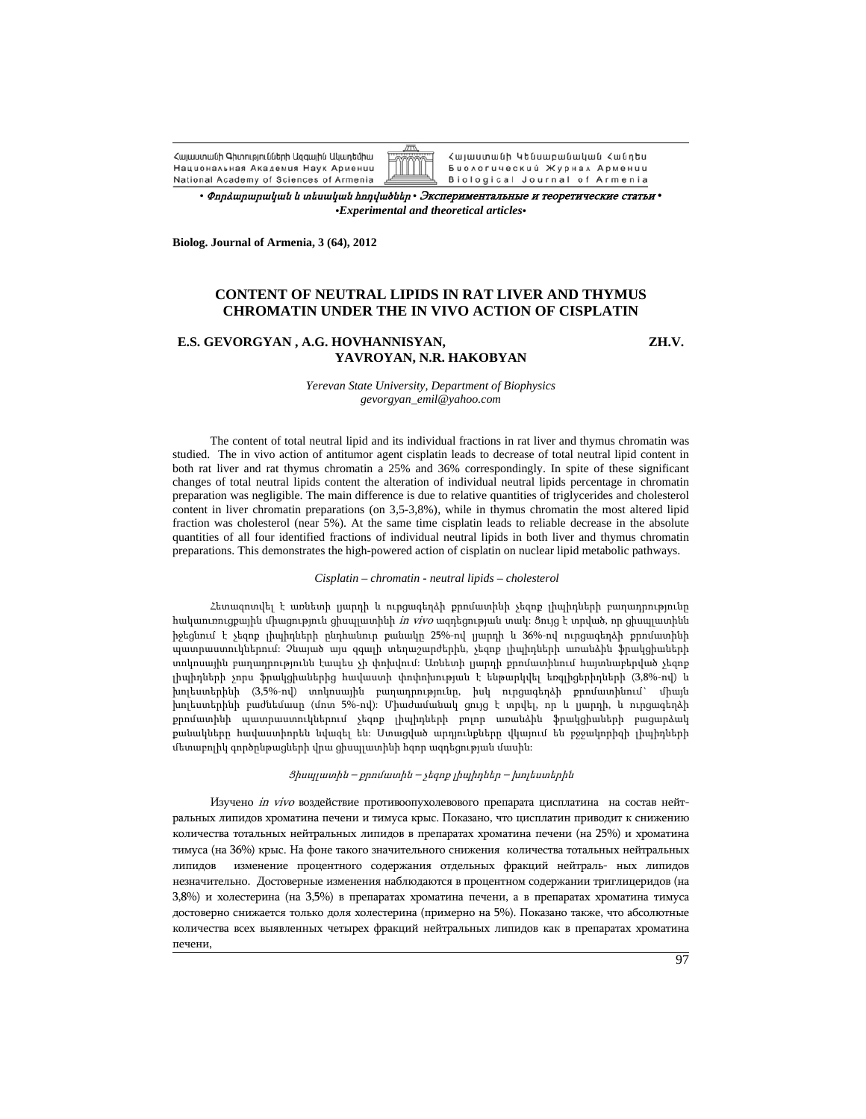Հայաստանի Գիտությունների Ազգային Ակադեմիա Национальная Академия Наук Армении National Academy of Sciences of Armenia



Биологический Журнал Армении Biological Journal of Armenia

*•* Փորձարարական <sup>և</sup> տեսական հոդվածներ *•* Экспериментальные <sup>и</sup> теоретические статьи *• •Experimental and theoretical articles•*

**Biolog. Journal of Armenia, 3 (64), 2012** 

## **CONTENT OF NEUTRAL LIPIDS IN RAT LIVER AND THYMUS CHROMATIN UNDER THE IN VIVO ACTION OF CISPLATIN**

## **E.S. GEVORGYAN , A.G. HOVHANNISYAN, ZH.V. YAVROYAN, N.R. HAKOBYAN**

*Yerevan State University, Department of Biophysics gevorgyan\_emil@yahoo.com* 

The content of total neutral lipid and its individual fractions in rat liver and thymus chromatin was studied. The in vivo action of antitumor agent cisplatin leads to decrease of total neutral lipid content in both rat liver and rat thymus chromatin a 25% and 36% correspondingly. In spite of these significant changes of total neutral lipids content the alteration of individual neutral lipids percentage in chromatin preparation was negligible. The main difference is due to relative quantities of triglycerides and cholesterol content in liver chromatin preparations (on 3,5-3,8%), while in thymus chromatin the most altered lipid fraction was cholesterol (near 5%). At the same time cisplatin leads to reliable decrease in the absolute quantities of all four identified fractions of individual neutral lipids in both liver and thymus chromatin preparations. This demonstrates the high-powered action of cisplatin on nuclear lipid metabolic pathways.

*Cisplatin – chromatin - neutral lipids – cholesterol* 

Հետազոտվել է առնետի լյարդի և ուրցագեղձի քրոմատինի չեզոք լիպիդների բաղադրությունը հակաուռուցքային միացություն ցիսպլատինի in vivo ազդեցության տակ: Ցույց է տրված, որ ցիսպլատինն իջեցնում է չեզոք լիպիդների ընդհանուր քանակը 25%-ով լյարդի և 36%-ով ուրցագեղձի քրոմատինի պատրաստուկներում: Չնայած այս զգալի տեղաշարժերին, չեզոք լիպիդների առանձին ֆրակցիաների տոկոսային բաղադրությունն էապես չի փոխվում: Առնետի լյարդի քրոմատինում հայտնաբերված չեզոք լիպիդների չորս ֆրակցիաներից հավաստի փոփոխության է ենթարկվել եռգլիցերիդների (3,8%-ով) և խոլեստերինի (3,5%-ով) տոկոսային բաղադրությունը, իսկ ուրցագեղձի քրոմատինում` միայն խոլեստերինի բաժնեմասը (մոտ 5%-ով): Միաժամանակ ցույց է տրվել, որ և լյարդի, և ուրցագեղձի քրոմատինի պատրաստուկներում չեզոք լիպիդների բոլոր առանձին ֆրակցիաների բացարձակ քանակները հավաստիորեն նվազել են: Ստացված արդյունքները վկայում են բջջակորիզի լիպիդների մետաբոլիկ գործընթացների վրա ցիսպլատինի հզոր ազդեցության մասին:

Ցիսպլատին – քրոմատին – չեզոք լիպիդներ – խոլեստերին

Изучено in vivo воздействие противоопухолевового препарата цисплатина на состав нейтральных липидов хроматина печени и тимуса крыс. Показано, что цисплатин приводит к снижению количества тотальных нейтральных липидов в препаратах хроматина печени (на 25%) и хроматина тимуса (на 36%) крыс. На фоне такого значительного снижения количества тотальных нейтральных липидов изменение процентного содержания отдельных фракций нейтраль- ных липидов незначительно. Достоверные изменения наблюдаются в процентном содержании триглицеридов (на 3,8%) и холестерина (на 3,5%) в препаратах хроматина печени, а в препаратах хроматина тимуса достоверно снижается только доля холестерина (примерно на 5%). Показано также, что абсолютные количества всех выявленных четырех фракций нейтральных липидов как в препаратах хроматина печени,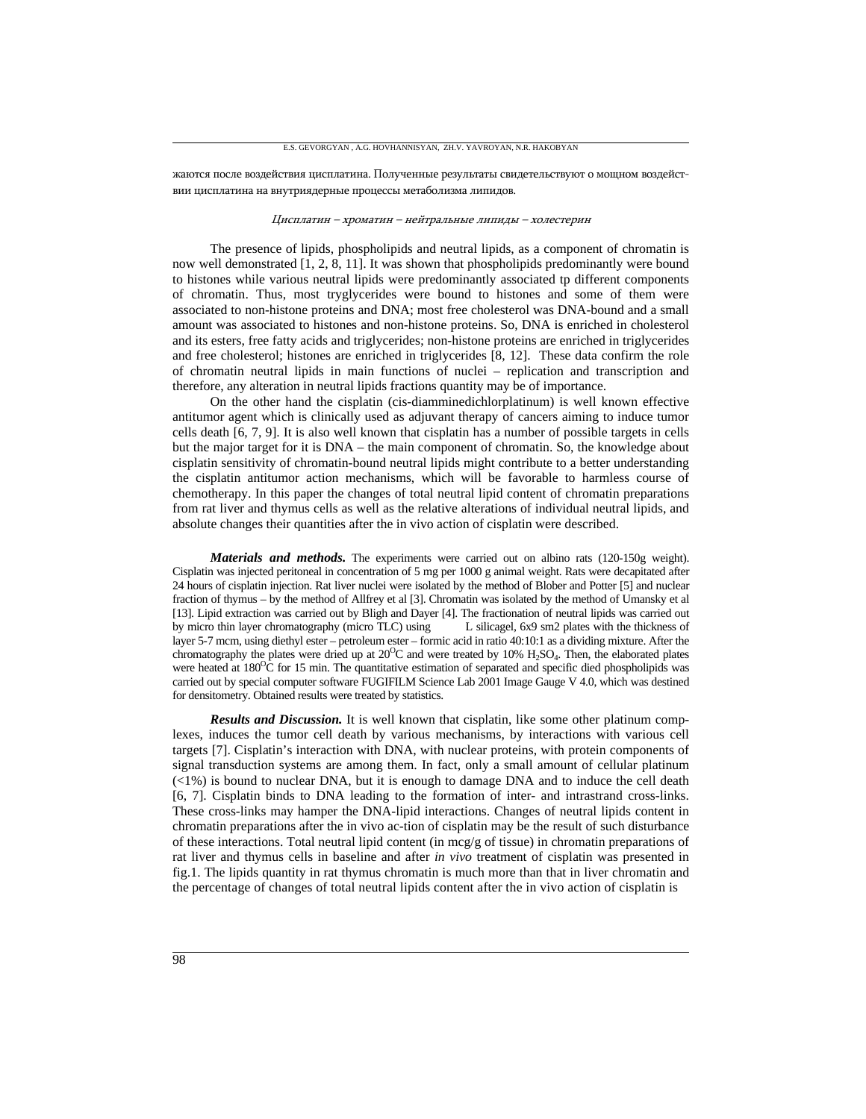жаются после воздействия цисплатина. Полученные результаты свидетельствуют о мощном воздействии цисплатина на внутриядерные процессы метаболизма липидов.

## Цисплатин – хроматин – нейтральные липиды – холестерин

The presence of lipids, phospholipids and neutral lipids, as a component of chromatin is now well demonstrated [1, 2, 8, 11]. It was shown that phospholipids predominantly were bound to histones while various neutral lipids were predominantly associated tp different components of chromatin. Thus, most tryglycerides were bound to histones and some of them were associated to non-histone proteins and DNA; most free cholesterol was DNA-bound and a small amount was associated to histones and non-histone proteins. So, DNA is enriched in cholesterol and its esters, free fatty acids and triglycerides; non-histone proteins are enriched in triglycerides and free cholesterol; histones are enriched in triglycerides [8, 12]. These data confirm the role of chromatin neutral lipids in main functions of nuclei – replication and transcription and therefore, any alteration in neutral lipids fractions quantity may be of importance.

On the other hand the cisplatin (cis-diamminedichlorplatinum) is well known effective antitumor agent which is clinically used as adjuvant therapy of cancers aiming to induce tumor cells death [6, 7, 9]. It is also well known that cisplatin has a number of possible targets in cells but the major target for it is DNA – the main component of chromatin. So, the knowledge about cisplatin sensitivity of chromatin-bound neutral lipids might contribute to a better understanding the cisplatin antitumor action mechanisms, which will be favorable to harmless course of chemotherapy. In this paper the changes of total neutral lipid content of chromatin preparations from rat liver and thymus cells as well as the relative alterations of individual neutral lipids, and absolute changes their quantities after the in vivo action of cisplatin were described.

*Materials and methods.* The experiments were carried out on albino rats (120-150g weight). Cisplatin was injected peritoneal in concentration of 5 mg per 1000 g animal weight. Rats were decapitated after 24 hours of cisplatin injection. Rat liver nuclei were isolated by the method of Blober and Potter [5] and nuclear fraction of thymus – by the method of Allfrey et al [3]. Chromatin was isolated by the method of Umansky et al [13]. Lipid extraction was carried out by Bligh and Dayer [4]. The fractionation of neutral lipids was carried out by micro thin layer chromatography (micro TLC) using L silicagel, 6x9 sm2 plates with the thickness of layer 5-7 mcm, using diethyl ester – petroleum ester – formic acid in ratio 40:10:1 as a dividing mixture. After the chromatography the plates were dried up at  $20^{\circ}\text{C}$  and were treated by 10% H<sub>2</sub>SO<sub>4</sub>. Then, the elaborated plates were heated at  $180^{\circ}\text{C}$  for 15 min. The quantitative estimation of separated and specific died phospholipids was carried out by special computer software FUGIFILM Science Lab 2001 Image Gauge V 4.0, which was destined for densitometry. Obtained results were treated by statistics.

*Results and Discussion.* It is well known that cisplatin, like some other platinum complexes, induces the tumor cell death by various mechanisms, by interactions with various cell targets [7]. Cisplatin's interaction with DNA, with nuclear proteins, with protein components of signal transduction systems are among them. In fact, only a small amount of cellular platinum (<1%) is bound to nuclear DNA, but it is enough to damage DNA and to induce the cell death [6, 7]. Cisplatin binds to DNA leading to the formation of inter- and intrastrand cross-links. These cross-links may hamper the DNA-lipid interactions. Changes of neutral lipids content in chromatin preparations after the in vivo ac-tion of cisplatin may be the result of such disturbance of these interactions. Total neutral lipid content (in mcg/g of tissue) in chromatin preparations of rat liver and thymus cells in baseline and after *in vivo* treatment of cisplatin was presented in fig.1. The lipids quantity in rat thymus chromatin is much more than that in liver chromatin and the percentage of changes of total neutral lipids content after the in vivo action of cisplatin is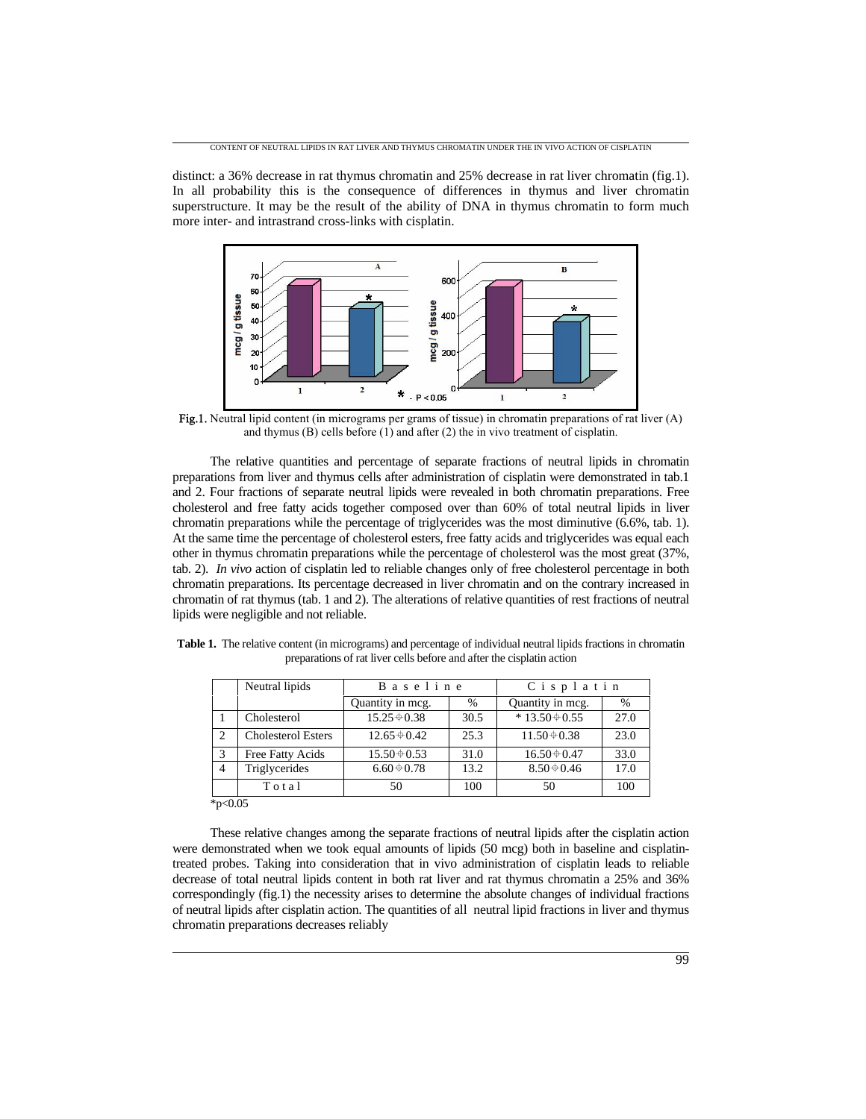distinct: a 36% decrease in rat thymus chromatin and 25% decrease in rat liver chromatin (fig.1). In all probability this is the consequence of differences in thymus and liver chromatin superstructure. It may be the result of the ability of DNA in thymus chromatin to form much more inter- and intrastrand cross-links with cisplatin.



Fig.1. Neutral lipid content (in micrograms per grams of tissue) in chromatin preparations of rat liver (A) and thymus (B) cells before (1) and after (2) the in vivo treatment of cisplatin.

The relative quantities and percentage of separate fractions of neutral lipids in chromatin preparations from liver and thymus cells after administration of cisplatin were demonstrated in tab.1 and 2. Four fractions of separate neutral lipids were revealed in both chromatin preparations. Free cholesterol and free fatty acids together composed over than 60% of total neutral lipids in liver chromatin preparations while the percentage of triglycerides was the most diminutive (6.6%, tab. 1). At the same time the percentage of cholesterol esters, free fatty acids and triglycerides was equal each other in thymus chromatin preparations while the percentage of cholesterol was the most great (37%, tab. 2). *In vivo* action of cisplatin led to reliable changes only of free cholesterol percentage in both chromatin preparations. Its percentage decreased in liver chromatin and on the contrary increased in chromatin of rat thymus (tab. 1 and 2). The alterations of relative quantities of rest fractions of neutral lipids were negligible and not reliable.

|                | Neutral lipids            | <b>Baseline</b>   |      | Cisplatin          |      |
|----------------|---------------------------|-------------------|------|--------------------|------|
|                |                           | Quantity in mcg.  | %    | Quantity in mcg.   | %    |
|                | Cholesterol               | $15.25 \div 0.38$ | 30.5 | $*13.50 \div 0.55$ | 27.0 |
| 2              | <b>Cholesterol Esters</b> | $12.65 \div 0.42$ | 25.3 | $11.50 \div 0.38$  | 23.0 |
| 3              | Free Fatty Acids          | $15.50 \div 0.53$ | 31.0 | $16.50 \div 0.47$  | 33.0 |
| $\overline{4}$ | Triglycerides             | $6.60 \div 0.78$  | 13.2 | $8.50 \div 0.46$   | 17.0 |
|                | Total                     | 50                | 100  | 50                 | 100  |
| * $p<0.05$     |                           |                   |      |                    |      |

**Table 1.** The relative content (in micrograms) and percentage of individual neutral lipids fractions in chromatin preparations of rat liver cells before and after the cisplatin action

These relative changes among the separate fractions of neutral lipids after the cisplatin action were demonstrated when we took equal amounts of lipids (50 mcg) both in baseline and cisplatintreated probes. Taking into consideration that in vivo administration of cisplatin leads to reliable decrease of total neutral lipids content in both rat liver and rat thymus chromatin a 25% and 36% correspondingly (fig.1) the necessity arises to determine the absolute changes of individual fractions of neutral lipids after cisplatin action. The quantities of all neutral lipid fractions in liver and thymus chromatin preparations decreases reliably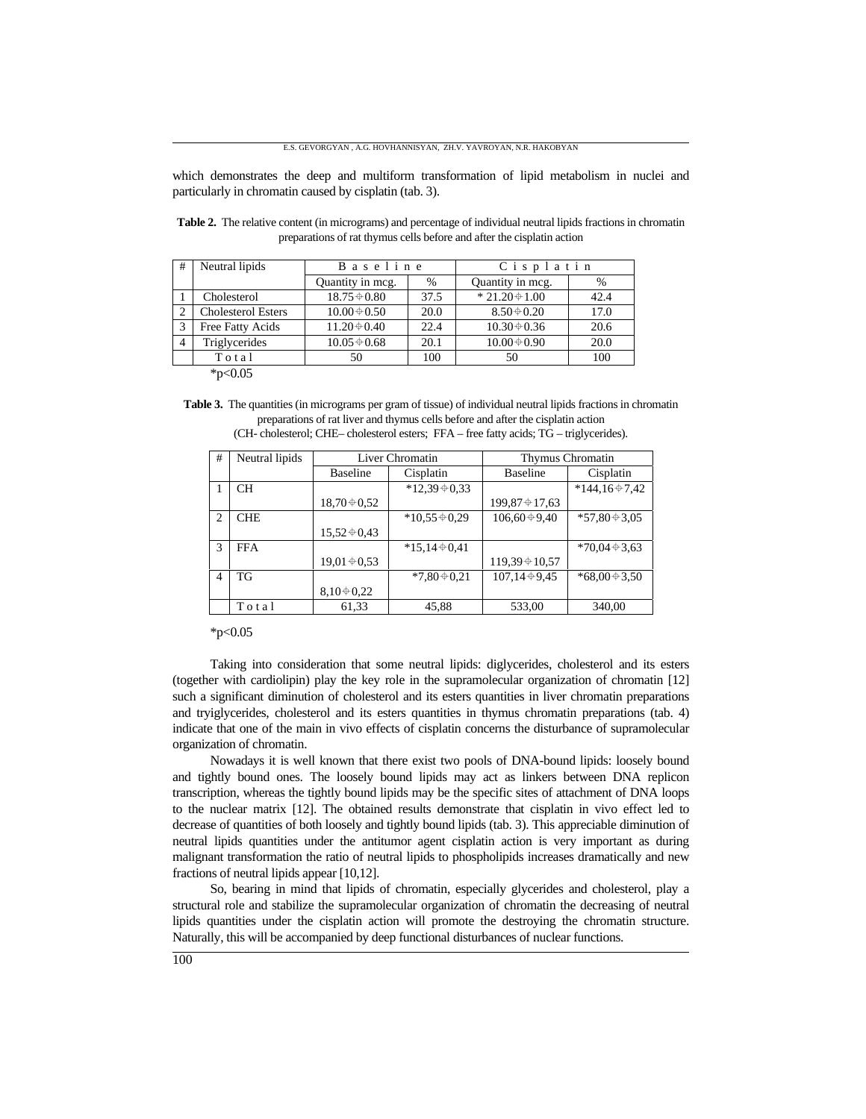which demonstrates the deep and multiform transformation of lipid metabolism in nuclei and particularly in chromatin caused by cisplatin (tab. 3).

|                   |                                                                | Cisplatin          |      |
|-------------------|----------------------------------------------------------------|--------------------|------|
| Quantity in meg.  | $\%$                                                           | Quantity in mcg.   | $\%$ |
| $18.75 \div 0.80$ | 37.5                                                           | $*21.20 \div 1.00$ | 42.4 |
| $10.00 \div 0.50$ | 20.0                                                           | $8.50 \div 0.20$   | 17.0 |
| $11.20 \div 0.40$ | 22.4                                                           | $10.30 \div 0.36$  | 20.6 |
| $10.05 \div 0.68$ | 20.1                                                           | $10.00 \div 0.90$  | 20.0 |
| 50                | 100                                                            | 50                 | 100  |
|                   | <b>Cholesterol Esters</b><br>Free Fatty Acids<br>Triglycerides |                    |      |

**Table 2.** The relative content (in micrograms) and percentage of individual neutral lipids fractions in chromatin preparations of rat thymus cells before and after the cisplatin action

 $*p<0.05$ 

**Table 3.** The quantities (in micrograms per gram of tissue) of individual neutral lipids fractions in chromatin preparations of rat liver and thymus cells before and after the cisplatin action (CH- cholesterol; CHE– cholesterol esters; FFA – free fatty acids; TG – triglycerides).

| # | Neutral lipids | Liver Chromatin                 |                    | Thymus Chromatin    |                    |
|---|----------------|---------------------------------|--------------------|---------------------|--------------------|
|   |                | <b>Baseline</b>                 | Cisplatin          | <b>Baseline</b>     | Cisplatin          |
|   | <b>CH</b>      |                                 | $*12,39+0,33$      |                     | $*144,16+7,42$     |
|   |                | $18,70 \text{ } \bigoplus 0.52$ |                    | $199,87 \div 17,63$ |                    |
| 2 | <b>CHE</b>     |                                 | $*10,55 \div 0,29$ | $106,60 + 9,40$     | $*57,80 \div 3,05$ |
|   |                | $15,52 \div 0,43$               |                    |                     |                    |
| 3 | <b>FFA</b>     |                                 | $*15.14 \div 0.41$ |                     | $*70.04 \div 3.63$ |
|   |                | $19,01 \div 0.53$               |                    | $119,39 \div 10,57$ |                    |
| 4 | TG             |                                 | $*7,80 \div 0,21$  | $107,14+9,45$       | $*68,00*3,50$      |
|   |                | $8,10 \div 0,22$                |                    |                     |                    |
|   | Total          | 61,33                           | 45,88              | 533,00              | 340,00             |

 $*p<0.05$ 

Taking into consideration that some neutral lipids: diglycerides, cholesterol and its esters (together with cardiolipin) play the key role in the supramolecular organization of chromatin [12] such a significant diminution of cholesterol and its esters quantities in liver chromatin preparations and tryiglycerides, cholesterol and its esters quantities in thymus chromatin preparations (tab. 4) indicate that one of the main in vivo effects of cisplatin concerns the disturbance of supramolecular organization of chromatin.

Nowadays it is well known that there exist two pools of DNA-bound lipids: loosely bound and tightly bound ones. The loosely bound lipids may act as linkers between DNA replicon transcription, whereas the tightly bound lipids may be the specific sites of attachment of DNA loops to the nuclear matrix [12]. The obtained results demonstrate that cisplatin in vivo effect led to decrease of quantities of both loosely and tightly bound lipids (tab. 3). This appreciable diminution of neutral lipids quantities under the antitumor agent cisplatin action is very important as during malignant transformation the ratio of neutral lipids to phospholipids increases dramatically and new fractions of neutral lipids appear [10,12].

So, bearing in mind that lipids of chromatin, especially glycerides and cholesterol, play a structural role and stabilize the supramolecular organization of chromatin the decreasing of neutral lipids quantities under the cisplatin action will promote the destroying the chromatin structure. Naturally, this will be accompanied by deep functional disturbances of nuclear functions.